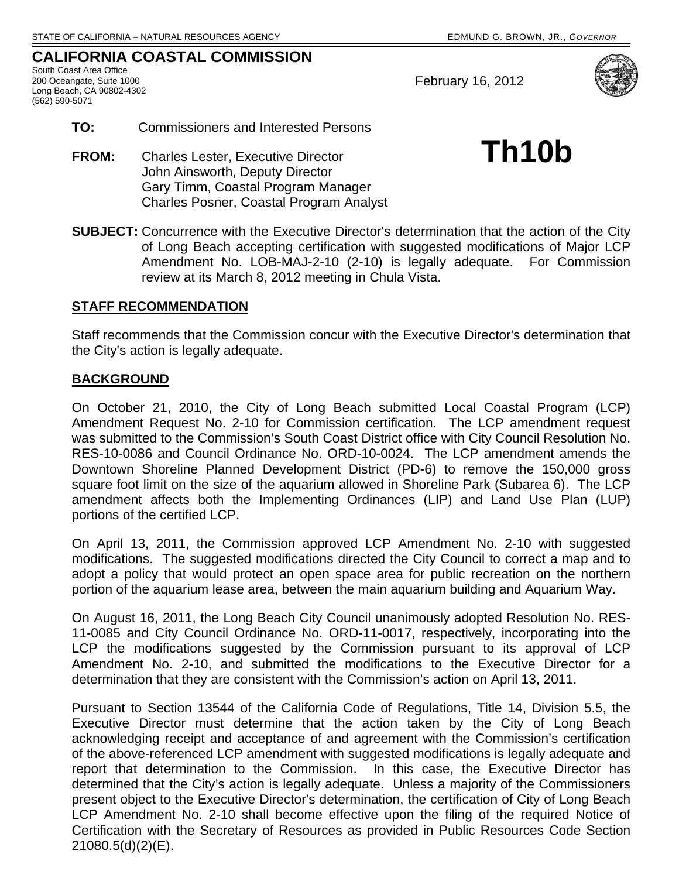## **CALIFORNIA COASTAL COMMISSION**

South Coast Area Office 200 Oceangate, Suite 1000 Long Beach, CA 90802-4302 (562) 590-5071

February 16, 2012



- **TO:** Commissioners and Interested Persons
- **FROM:** Charles Lester, Executive Director **Th10b**  John Ainsworth, Deputy Director Gary Timm, Coastal Program Manager Charles Posner, Coastal Program Analyst
- **SUBJECT:** Concurrence with the Executive Director's determination that the action of the City of Long Beach accepting certification with suggested modifications of Major LCP Amendment No. LOB-MAJ-2-10 (2-10) is legally adequate. For Commission review at its March 8, 2012 meeting in Chula Vista.

## **STAFF RECOMMENDATION**

Staff recommends that the Commission concur with the Executive Director's determination that the City's action is legally adequate.

## **BACKGROUND**

On October 21, 2010, the City of Long Beach submitted Local Coastal Program (LCP) Amendment Request No. 2-10 for Commission certification. The LCP amendment request was submitted to the Commission's South Coast District office with City Council Resolution No. RES-10-0086 and Council Ordinance No. ORD-10-0024. The LCP amendment amends the Downtown Shoreline Planned Development District (PD-6) to remove the 150,000 gross square foot limit on the size of the aquarium allowed in Shoreline Park (Subarea 6). The LCP amendment affects both the Implementing Ordinances (LIP) and Land Use Plan (LUP) portions of the certified LCP.

On April 13, 2011, the Commission approved LCP Amendment No. 2-10 with suggested modifications. The suggested modifications directed the City Council to correct a map and to adopt a policy that would protect an open space area for public recreation on the northern portion of the aquarium lease area, between the main aquarium building and Aquarium Way.

On August 16, 2011, the Long Beach City Council unanimously adopted Resolution No. RES-11-0085 and City Council Ordinance No. ORD-11-0017, respectively, incorporating into the LCP the modifications suggested by the Commission pursuant to its approval of LCP Amendment No. 2-10, and submitted the modifications to the Executive Director for a determination that they are consistent with the Commission's action on April 13, 2011.

Pursuant to Section 13544 of the California Code of Regulations, Title 14, Division 5.5, the Executive Director must determine that the action taken by the City of Long Beach acknowledging receipt and acceptance of and agreement with the Commission's certification of the above-referenced LCP amendment with suggested modifications is legally adequate and report that determination to the Commission. In this case, the Executive Director has determined that the City's action is legally adequate. Unless a majority of the Commissioners present object to the Executive Director's determination, the certification of City of Long Beach LCP Amendment No. 2-10 shall become effective upon the filing of the required Notice of Certification with the Secretary of Resources as provided in Public Resources Code Section 21080.5(d)(2)(E).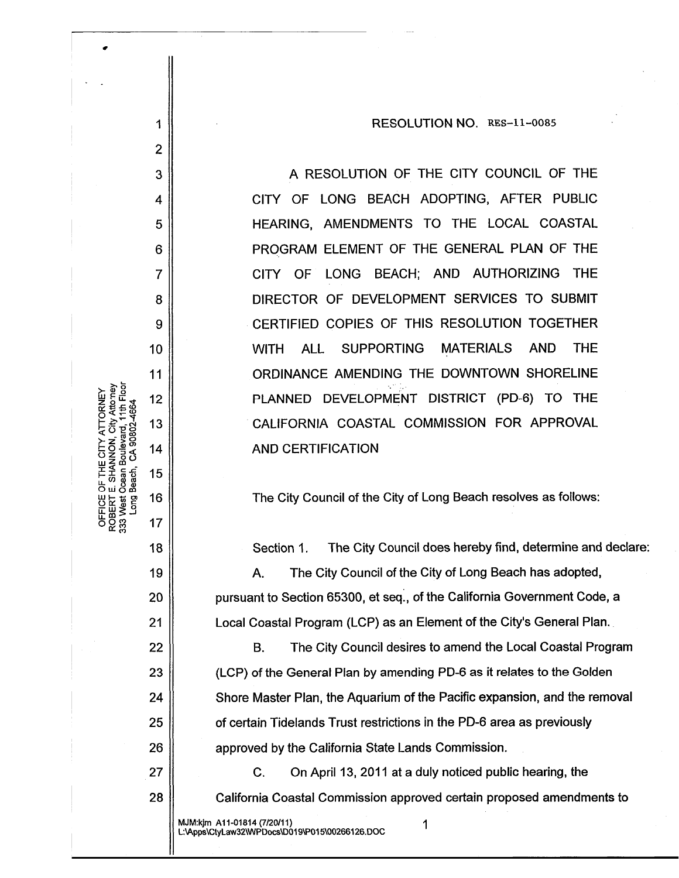RESOLUTION NO. RES-11-0085

A RESOLUTION OF THE CITY COUNCIL OF THE CITY OF LONG BEACH ADOPTING, AFTER PUBLIC HEARING, AMENDMENTS TO THE LOCAL COASTAL PROGRAM ELEMENT OF THE GENERAL PLAN OF THE CITY OF LONG BEACH; AND AUTHORIZING THE DIRECTOR OF DEVELOPMENT SERVICES TO SUBMIT CERTIFIED COPIES OF THIS RESOLUTION TOGETHER **ALL SUPPORTING MATERIALS AND THE WITH** ORDINANCE AMENDING THE DOWNTOWN SHORELINE PLANNED DEVELOPMENT DISTRICT (PD-6) TO THE CALIFORNIA COASTAL COMMISSION FOR APPROVAL **AND CERTIFICATION** 

The City Council of the City of Long Beach resolves as follows:

Section 1. The City Council does hereby find, determine and declare:

A. The City Council of the City of Long Beach has adopted, pursuant to Section 65300, et seq., of the California Government Code, a Local Coastal Program (LCP) as an Element of the City's General Plan.

The City Council desires to amend the Local Coastal Program **B.** (LCP) of the General Plan by amending PD-6 as it relates to the Golden Shore Master Plan, the Aquarium of the Pacific expansion, and the removal of certain Tidelands Trust restrictions in the PD-6 area as previously approved by the California State Lands Commission.

C. On April 13, 2011 at a duly noticed public hearing, the California Coastal Commission approved certain proposed amendments to

MJM:kjm A11-01814 (7/20/11) L:\Apps\CtyLaw32\WPDocs\D019\P015\00266126.DOC

1

 $\overline{2}$ 

3

4

5

6

 $\overline{7}$ 

8

9

10

11

12

13

 $14$ 

15

16

17

18

19

20

 $21$ 

22

23

24

25

26

27

28

Long

333 West

1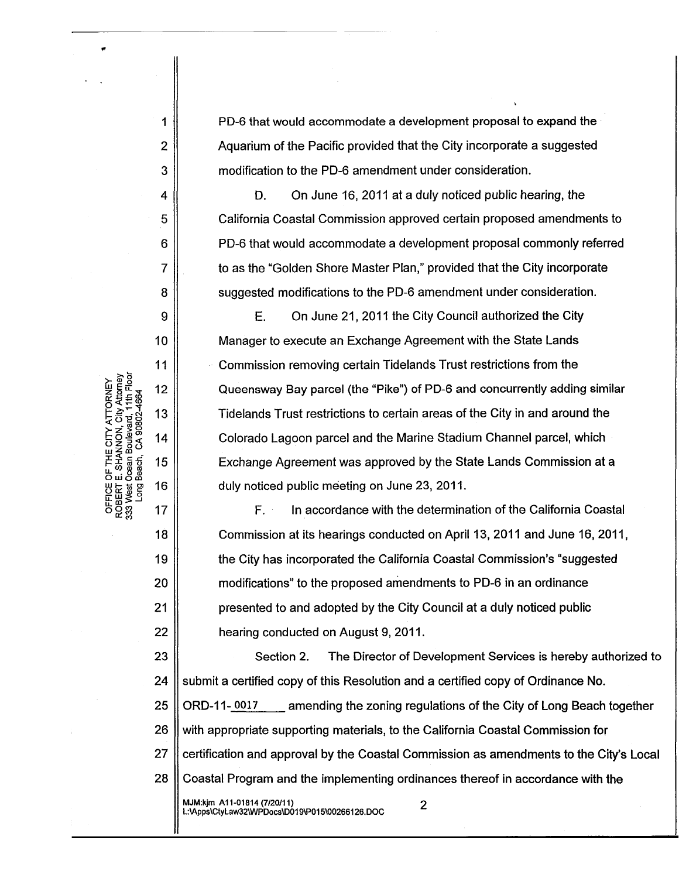PD-6 that would accommodate a development proposal to expand the Aquarium of the Pacific provided that the City incorporate a suggested modification to the PD-6 amendment under consideration.

D. On June 16, 2011 at a duly noticed public hearing, the California Coastal Commission approved certain proposed amendments to PD-6 that would accommodate a development proposal commonly referred to as the "Golden Shore Master Plan," provided that the City incorporate suggested modifications to the PD-6 amendment under consideration.

E. On June 21, 2011 the City Council authorized the City Manager to execute an Exchange Agreement with the State Lands Commission removing certain Tidelands Trust restrictions from the Queensway Bay parcel (the "Pike") of PD-6 and concurrently adding similar Tidelands Trust restrictions to certain areas of the City in and around the Colorado Lagoon parcel and the Marine Stadium Channel parcel, which Exchange Agreement was approved by the State Lands Commission at a duly noticed public meeting on June 23, 2011.

In accordance with the determination of the California Coastal F. Commission at its hearings conducted on April 13, 2011 and June 16, 2011, the City has incorporated the California Coastal Commission's "suggested" modifications" to the proposed amendments to PD-6 in an ordinance presented to and adopted by the City Council at a duly noticed public hearing conducted on August 9, 2011.

23 Section 2. The Director of Development Services is hereby authorized to 24 submit a certified copy of this Resolution and a certified copy of Ordinance No. 25 ORD-11-0017 amending the zoning regulations of the City of Long Beach together 26 with appropriate supporting materials, to the California Coastal Commission for 27 certification and approval by the Coastal Commission as amendments to the City's Local  $28<sup>1</sup>$ Coastal Program and the implementing ordinances thereof in accordance with the MJM:kjm A11-01814 (7/20/11)  $\overline{2}$ L:\Apps\CtyLaw32\WPDocs\D019\P015\00266126.DOC

OFFICE OF THE CITY ATTORNEY<br>ROBERT E. SHANNON, City Attorney<br>333 West Ocean Boulevard, 11th Floor Beach, CA 90802-466-**Long**  1

 $\overline{2}$ 

3

4

5

6

 $\overline{7}$ 

8

9

10

 $11$ 

 $12$ 

13

14

15

16

17

18

19

20

 $21$ 

22